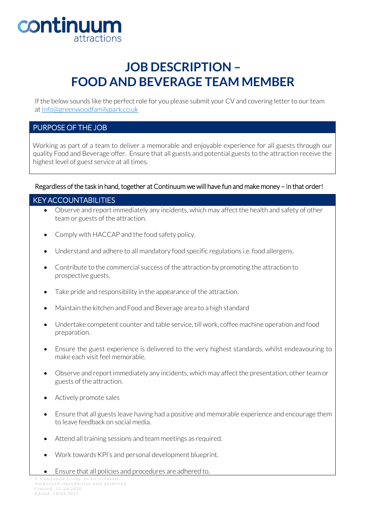

## **JOB DESCRIPTION – FOOD AND BEVERAGE TEAM MEMBER**

If the below sounds like the perfect role for you please submit your CV and covering letter to our team a[t Info@greenwoodfamilypark.co.uk](mailto:Info@greenwoodfamilypark.co.uk)

## PURPOSE OF THE JOB

Working as part of a team to deliver a memorable and enjoyable experience for all guests through our quality Food and Beverage offer. Ensure that all guests and potential guests to the attraction receive the highest level of guest service at all times.

## Regardless of the task in hand, together at Continuum we will have fun and make money – in that order!

## KEY ACCOUNTABILITIES

- Observe and report immediately any incidents, which may affect the health and safety of other team or guests of the attraction.
- Comply with HACCAP and the food safety policy.
- Understand and adhere to all mandatory food specific regulations i.e. food allergens.
- Contribute to the commercial success of the attraction by promoting the attraction to prospective guests.
- Take pride and responsibility in the appearance of the attraction.
- Maintain the kitchen and Food and Beverage area to a high standard
- Undertake competent counter and table service, till work, coffee machine operation and food preparation.
- Ensure the guest experience is delivered to the very highest standards, whilst endeavouring to make each visit feel memorable.
- Observe and report immediately any incidents, which may affect the presentation, other team or guests of the attraction.
- Actively promote sales
- Ensure that all guests leave having had a positive and memorable experience and encourage them to leave feedback on social media.
- Attend all training sessions and team meetings as required.
- Work towards KPI's and personal development blueprint.
- Ensure that all policies and procedures are adhered to.